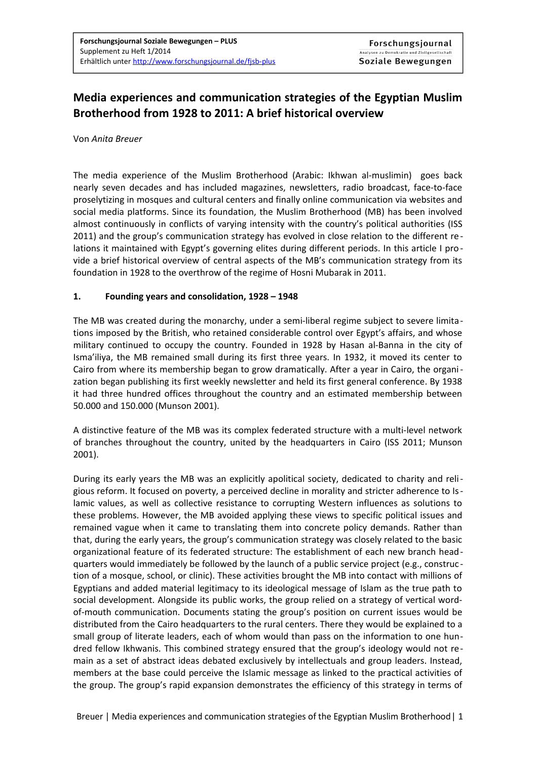# **Media experiences and communication strategies of the Egyptian Muslim Brotherhood from 1928 to 2011: A brief historical overview**

#### Von *Anita Breuer*

The media experience of the Muslim Brotherhood (Arabic: Ikhwan al-muslimin) goes back nearly seven decades and has included magazines, newsletters, radio broadcast, face-to-face proselytizing in mosques and cultural centers and finally online communication via websites and social media platforms. Since its foundation, the Muslim Brotherhood (MB) has been involved almost continuously in conflicts of varying intensity with the country's political authorities (ISS 2011) and the group's communication strategy has evolved in close relation to the different re lations it maintained with Egypt's governing elites during different periods. In this article I provide a brief historical overview of central aspects of the MB's communication strategy from its foundation in 1928 to the overthrow of the regime of Hosni Mubarak in 2011.

### **1. Founding years and consolidation, 1928 – 1948**

The MB was created during the monarchy, under a semi-liberal regime subject to severe limitations imposed by the British, who retained considerable control over Egypt's affairs, and whose military continued to occupy the country. Founded in 1928 by Hasan al-Banna in the city of Isma'iliya, the MB remained small during its first three years. In 1932, it moved its center to Cairo from where its membership began to grow dramatically. After a year in Cairo, the organization began publishing its first weekly newsletter and held its first general conference. By 1938 it had three hundred offices throughout the country and an estimated membership between 50.000 and 150.000 (Munson 2001).

A distinctive feature of the MB was its complex federated structure with a multi-level network of branches throughout the country, united by the headquarters in Cairo (ISS 2011; Munson 2001).

During its early years the MB was an explicitly apolitical society, dedicated to charity and religious reform. It focused on poverty, a perceived decline in morality and stricter adherence to Islamic values, as well as collective resistance to corrupting Western influences as solutions to these problems. However, the MB avoided applying these views to specific political issues and remained vague when it came to translating them into concrete policy demands. Rather than that, during the early years, the group's communication strategy was closely related to the basic organizational feature of its federated structure: The establishment of each new branch headquarters would immediately be followed by the launch of a public service project (e.g., construc tion of a mosque, school, or clinic). These activities brought the MB into contact with millions of Egyptians and added material legitimacy to its ideological message of Islam as the true path to social development. Alongside its public works, the group relied on a strategy of vertical wordof-mouth communication. Documents stating the group's position on current issues would be distributed from the Cairo headquarters to the rural centers. There they would be explained to a small group of literate leaders, each of whom would than pass on the information to one hundred fellow Ikhwanis. This combined strategy ensured that the group's ideology would not remain as a set of abstract ideas debated exclusively by intellectuals and group leaders. Instead, members at the base could perceive the Islamic message as linked to the practical activities of the group. The group's rapid expansion demonstrates the efficiency of this strategy in terms of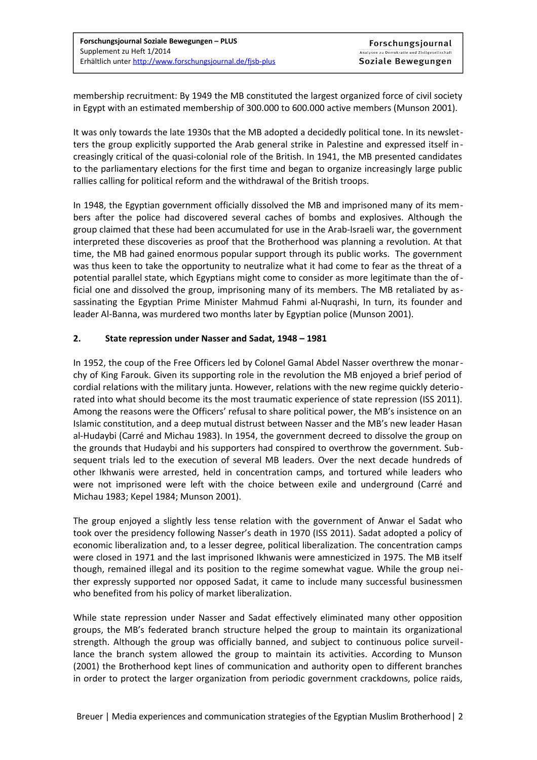membership recruitment: By 1949 the MB constituted the largest organized force of civil society in Egypt with an estimated membership of 300.000 to 600.000 active members (Munson 2001).

It was only towards the late 1930s that the MB adopted a decidedly political tone. In its newsletters the group explicitly supported the Arab general strike in Palestine and expressed itself increasingly critical of the quasi-colonial role of the British. In 1941, the MB presented candidates to the parliamentary elections for the first time and began to organize increasingly large public rallies calling for political reform and the withdrawal of the British troops.

In 1948, the Egyptian government officially dissolved the MB and imprisoned many of its members after the police had discovered several caches of bombs and explosives. Although the group claimed that these had been accumulated for use in the Arab-Israeli war, the government interpreted these discoveries as proof that the Brotherhood was planning a revolution. At that time, the MB had gained enormous popular support through its public works. The government was thus keen to take the opportunity to neutralize what it had come to fear as the threat of a potential parallel state, which Egyptians might come to consider as more legitimate than the official one and dissolved the group, imprisoning many of its members. The MB retaliated by assassinating the Egyptian Prime Minister Mahmud Fahmi al-Nuqrashi, In turn, its founder and leader Al-Banna, was murdered two months later by Egyptian police (Munson 2001).

### **2. State repression under Nasser and Sadat, 1948 – 1981**

In 1952, the coup of the Free Officers led by Colonel Gamal Abdel Nasser overthrew the monarchy of King Farouk. Given its supporting role in the revolution the MB enjoyed a brief period of cordial relations with the military junta. However, relations with the new regime quickly deteriorated into what should become its the most traumatic experience of state repression (ISS 2011). Among the reasons were the Officers' refusal to share political power, the MB's insistence on an Islamic constitution, and a deep mutual distrust between Nasser and the MB's new leader Hasan al-Hudaybi (Carré and Michau 1983). In 1954, the government decreed to dissolve the group on the grounds that Hudaybi and his supporters had conspired to overthrow the government. Subsequent trials led to the execution of several MB leaders. Over the next decade hundreds of other Ikhwanis were arrested, held in concentration camps, and tortured while leaders who were not imprisoned were left with the choice between exile and underground (Carré and Michau 1983; Kepel 1984; Munson 2001).

The group enjoyed a slightly less tense relation with the government of Anwar el Sadat who took over the presidency following Nasser's death in 1970 (ISS 2011). Sadat adopted a policy of economic liberalization and, to a lesser degree, political liberalization. The concentration camps were closed in 1971 and the last imprisoned Ikhwanis were amnesticized in 1975. The MB itself though, remained illegal and its position to the regime somewhat vague. While the group neither expressly supported nor opposed Sadat, it came to include many successful businessmen who benefited from his policy of market liberalization.

While state repression under Nasser and Sadat effectively eliminated many other opposition groups, the MB's federated branch structure helped the group to maintain its organizational strength. Although the group was officially banned, and subject to continuous police surveillance the branch system allowed the group to maintain its activities. According to Munson (2001) the Brotherhood kept lines of communication and authority open to different branches in order to protect the larger organization from periodic government crackdowns, police raids,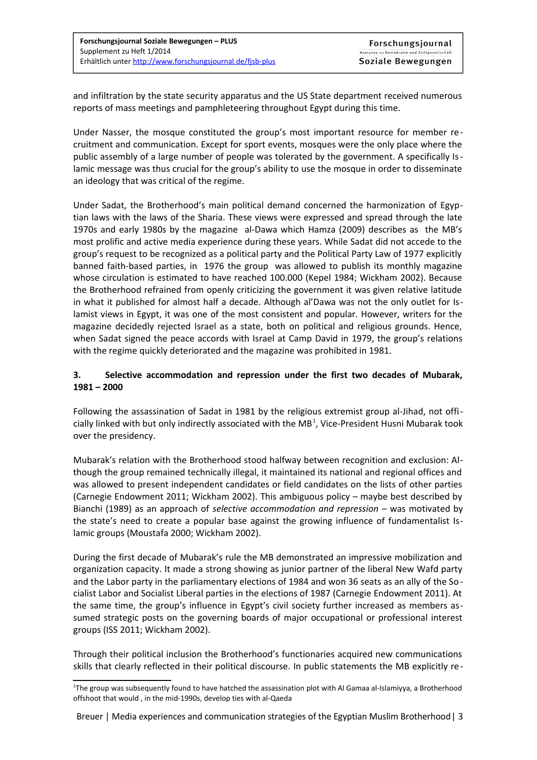and infiltration by the state security apparatus and the US State department received numerous reports of mass meetings and pamphleteering throughout Egypt during this time.

Under Nasser, the mosque constituted the group's most important resource for member recruitment and communication. Except for sport events, mosques were the only place where the public assembly of a large number of people was tolerated by the government. A specifically Islamic message was thus crucial for the group's ability to use the mosque in order to disseminate an ideology that was critical of the regime.

Under Sadat, the Brotherhood's main political demand concerned the harmonization of Egyptian laws with the laws of the Sharia. These views were expressed and spread through the late 1970s and early 1980s by the magazine al-Dawa which Hamza (2009) describes as the MB's most prolific and active media experience during these years. While Sadat did not accede to the group's request to be recognized as a political party and the Political Party Law of 1977 explicitly banned faith-based parties, in 1976 the group was allowed to publish its monthly magazine whose circulation is estimated to have reached 100.000 (Kepel 1984; Wickham 2002). Because the Brotherhood refrained from openly criticizing the government it was given relative latitude in what it published for almost half a decade. Although al'Dawa was not the only outlet for Islamist views in Egypt, it was one of the most consistent and popular. However, writers for the magazine decidedly rejected Israel as a state, both on political and religious grounds. Hence, when Sadat signed the peace accords with Israel at Camp David in 1979, the group's relations with the regime quickly deteriorated and the magazine was prohibited in 1981.

# **3. Selective accommodation and repression under the first two decades of Mubarak, 1981 – 2000**

Following the assassination of Sadat in 1981 by the religious extremist group al-Jihad, not offi-cially linked with but only indirectly associated with the MB<sup>[1](#page-2-0)</sup>, Vice-President Husni Mubarak took over the presidency.

Mubarak's relation with the Brotherhood stood halfway between recognition and exclusion: Although the group remained technically illegal, it maintained its national and regional offices and was allowed to present independent candidates or field candidates on the lists of other parties (Carnegie Endowment 2011; Wickham 2002). This ambiguous policy – maybe best described by Bianchi (1989) as an approach of *selective accommodation and repression* – was motivated by the state's need to create a popular base against the growing influence of fundamentalist Islamic groups (Moustafa 2000; Wickham 2002).

During the first decade of Mubarak's rule the MB demonstrated an impressive mobilization and organization capacity. It made a strong showing as junior partner of the liberal New Wafd party and the Labor party in the parliamentary elections of 1984 and won 36 seats as an ally of the So cialist Labor and Socialist Liberal parties in the elections of 1987 (Carnegie Endowment 2011). At the same time, the group's influence in Egypt's civil society further increased as members assumed strategic posts on the governing boards of major occupational or professional interest groups (ISS 2011; Wickham 2002).

Through their political inclusion the Brotherhood's functionaries acquired new communications skills that clearly reflected in their political discourse. In public statements the MB explicitly re-

<span id="page-2-0"></span><sup>1</sup> The group was subsequently found to have hatched the assassination plot with Al Gamaa al-Islamiyya, a Brotherhood offshoot that would , in the mid-1990s, develop ties with al-Qaeda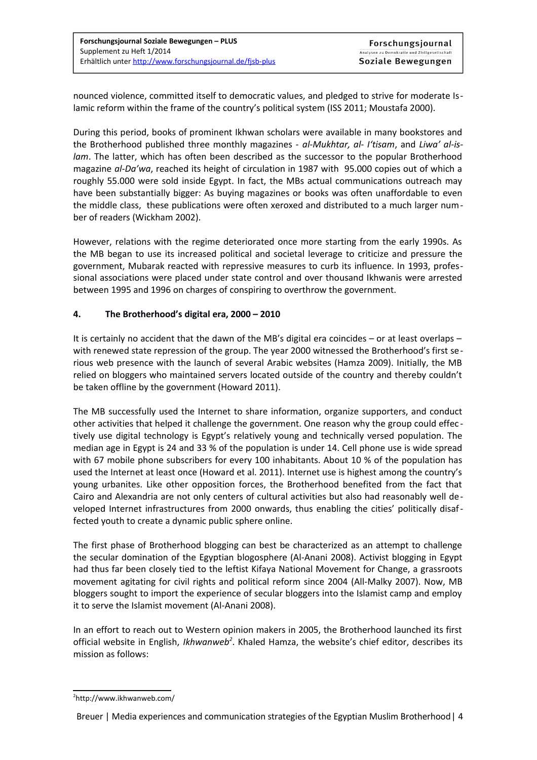nounced violence, committed itself to democratic values, and pledged to strive for moderate Islamic reform within the frame of the country's political system (ISS 2011; Moustafa 2000).

During this period, books of prominent Ikhwan scholars were available in many bookstores and the Brotherhood published three monthly magazines - *al-Mukhtar, al- I'tisam*, and *Liwa' al-islam*. The latter, which has often been described as the successor to the popular Brotherhood magazine *al-Da'wa*, reached its height of circulation in 1987 with 95.000 copies out of which a roughly 55.000 were sold inside Egypt. In fact, the MBs actual communications outreach may have been substantially bigger: As buying magazines or books was often unaffordable to even the middle class, these publications were often xeroxed and distributed to a much larger number of readers (Wickham 2002).

However, relations with the regime deteriorated once more starting from the early 1990s. As the MB began to use its increased political and societal leverage to criticize and pressure the government, Mubarak reacted with repressive measures to curb its influence. In 1993, professional associations were placed under state control and over thousand Ikhwanis were arrested between 1995 and 1996 on charges of conspiring to overthrow the government.

# **4. The Brotherhood's digital era, 2000 – 2010**

It is certainly no accident that the dawn of the MB's digital era coincides – or at least overlaps – with renewed state repression of the group. The year 2000 witnessed the Brotherhood's first serious web presence with the launch of several Arabic websites (Hamza 2009). Initially, the MB relied on bloggers who maintained servers located outside of the country and thereby couldn't be taken offline by the government (Howard 2011).

The MB successfully used the Internet to share information, organize supporters, and conduct other activities that helped it challenge the government. One reason why the group could effec tively use digital technology is Egypt's relatively young and technically versed population. The median age in Egypt is 24 and 33 % of the population is under 14. Cell phone use is wide spread with 67 mobile phone subscribers for every 100 inhabitants. About 10 % of the population has used the Internet at least once (Howard et al. 2011). Internet use is highest among the country's young urbanites. Like other opposition forces, the Brotherhood benefited from the fact that Cairo and Alexandria are not only centers of cultural activities but also had reasonably well developed Internet infrastructures from 2000 onwards, thus enabling the cities' politically disaffected youth to create a dynamic public sphere online.

The first phase of Brotherhood blogging can best be characterized as an attempt to challenge the secular domination of the Egyptian blogosphere (Al-Anani 2008). Activist blogging in Egypt had thus far been closely tied to the leftist Kifaya National Movement for Change, a grassroots movement agitating for civil rights and political reform since 2004 (All-Malky 2007). Now, MB bloggers sought to import the experience of secular bloggers into the Islamist camp and employ it to serve the Islamist movement (Al-Anani 2008).

In an effort to reach out to Western opinion makers in 2005, the Brotherhood launched its first official website in English, *Ikhwanweb[2](#page-3-0)* . Khaled Hamza, the website's chief editor, describes its mission as follows:

<span id="page-3-0"></span><sup>2</sup> http://www.ikhwanweb.com/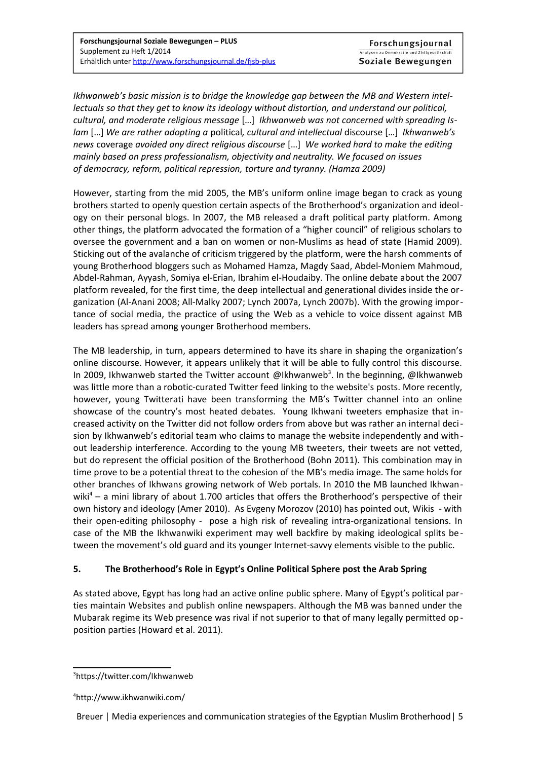*Ikhwanweb's basic mission is to bridge the knowledge gap between the MB and Western intellectuals so that they get to know its ideology without distortion, and understand our political, cultural, and moderate religious message* […] *Ikhwanweb was not concerned with spreading Islam* […] *We are rather adopting a* political*, cultural and intellectual* discourse […] *Ikhwanweb's news* coverage *avoided any direct religious discourse* […] *We worked hard to make the editing mainly based on press professionalism, objectivity and neutrality. We focused on issues of democracy, reform, political repression, torture and tyranny. (Hamza 2009)* 

However, starting from the mid 2005, the MB's uniform online image began to crack as young brothers started to openly question certain aspects of the Brotherhood's organization and ideology on their personal blogs. In 2007, the MB released a draft political party platform. Among other things, the platform advocated the formation of a "higher council" of religious scholars to oversee the government and a ban on women or non-Muslims as head of state (Hamid 2009). Sticking out of the avalanche of criticism triggered by the platform, were the harsh comments of young Brotherhood bloggers such as Mohamed Hamza, Magdy Saad, Abdel-Moniem Mahmoud, Abdel-Rahman, Ayyash, Somiya el-Erian, Ibrahim el-Houdaiby. The online debate about the 2007 platform revealed, for the first time, the deep intellectual and generational divides inside the organization (Al-Anani 2008; All-Malky 2007; Lynch 2007a, Lynch 2007b). With the growing importance of social media, the practice of using the Web as a vehicle to voice dissent against MB leaders has spread among younger Brotherhood members.

The MB leadership, in turn, appears determined to have its share in shaping the organization's online discourse. However, it appears unlikely that it will be able to fully control this discourse. In 2009, Ikhwanweb started the Twitter account @Ikhwanweb<sup>[3](#page-4-0)</sup>. In the beginning, @Ikhwanweb was little more than a robotic-curated Twitter feed linking to the website's posts. More recently, however, young Twitterati have been transforming the MB's Twitter channel into an online showcase of the country's most heated debates. Young Ikhwani tweeters emphasize that increased activity on the Twitter did not follow orders from above but was rather an internal decision by Ikhwanweb's editorial team who claims to manage the website independently and without leadership interference. According to the young MB tweeters, their tweets are not vetted, but do represent the official position of the Brotherhood (Bohn 2011). This combination may in time prove to be a potential threat to the cohesion of the MB's media image. The same holds for other branches of Ikhwans growing network of Web portals. In 2010 the MB launched Ikhwan-wiki<sup>[4](#page-4-1)</sup> – a mini library of about 1.700 articles that offers the Brotherhood's perspective of their own history and ideology (Amer 2010). As Evgeny Morozov (2010) has pointed out, Wikis - with their open-editing philosophy - pose a high risk of revealing intra-organizational tensions. In case of the MB the Ikhwanwiki experiment may well backfire by making ideological splits between the movement's old guard and its younger Internet-savvy elements visible to the public.

# **5. The Brotherhood's Role in Egypt's Online Political Sphere post the Arab Spring**

As stated above, Egypt has long had an active online public sphere. Many of Egypt's political parties maintain Websites and publish online newspapers. Although the MB was banned under the Mubarak regime its Web presence was rival if not superior to that of many legally permitted op position parties (Howard et al. 2011).

Breuer | Media experiences and communication strategies of the Egyptian Muslim Brotherhood| 5

<span id="page-4-0"></span><sup>3</sup> https://twitter.com/Ikhwanweb

<span id="page-4-1"></span><sup>4</sup> http://www.ikhwanwiki.com/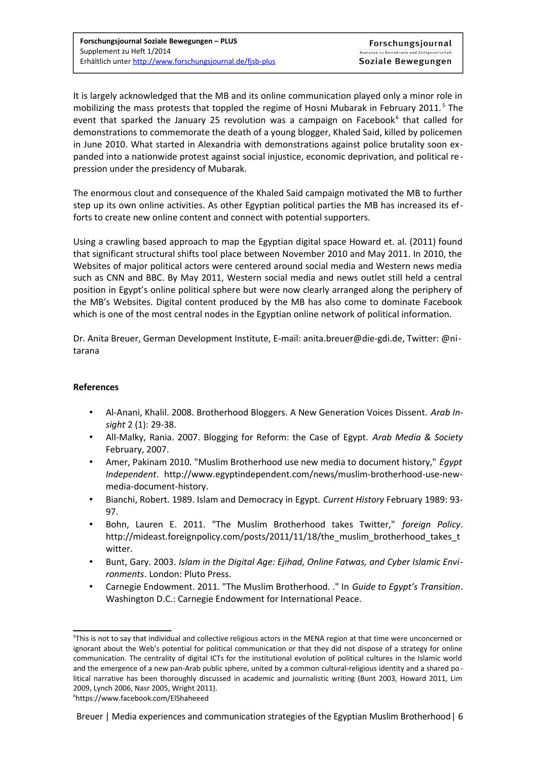It is largely acknowledged that the MB and its online communication played only a minor role in mobilizing the mass protests that toppled the regime of Hosni Mubarak in February 2011.<sup>[5](#page-5-0)</sup> The event that sparked the January 25 revolution was a campaign on Facebook<sup>[6](#page-5-1)</sup> that called for demonstrations to commemorate the death of a young blogger, Khaled Said, killed by policemen in June 2010. What started in Alexandria with demonstrations against police brutality soon expanded into a nationwide protest against social injustice, economic deprivation, and political repression under the presidency of Mubarak.

The enormous clout and consequence of the Khaled Said campaign motivated the MB to further step up its own online activities. As other Egyptian political parties the MB has increased its efforts to create new online content and connect with potential supporters.

Using a crawling based approach to map the Egyptian digital space Howard et. al. (2011) found that significant structural shifts tool place between November 2010 and May 2011. In 2010, the Websites of major political actors were centered around social media and Western news media such as CNN and BBC. By May 2011, Western social media and news outlet still held a central position in Egypt's online political sphere but were now clearly arranged along the periphery of the MB's Websites. Digital content produced by the MB has also come to dominate Facebook which is one of the most central nodes in the Egyptian online network of political information.

Dr. Anita Breuer, German Development Institute, E-mail: anita.breuer@die-gdi.de, Twitter: @nitarana

#### **References**

- Al-Anani, Khalil. 2008. Brotherhood Bloggers. A New Generation Voices Dissent. *Arab Insight* 2 (1): 29-38.
- All-Malky, Rania. 2007. Blogging for Reform: the Case of Egypt. *Arab Media & Society* February, 2007.
- Amer, Pakinam 2010. "Muslim Brotherhood use new media to document history," *Egypt Independent*. http://www.egyptindependent.com/news/muslim-brotherhood-use-newmedia-document-history.
- Bianchi, Robert. 1989. Islam and Democracy in Egypt. *Current History* February 1989: 93- 97.
- Bohn, Lauren E. 2011. "The Muslim Brotherhood takes Twitter," *foreign Policy*. http://mideast.foreignpolicy.com/posts/2011/11/18/the\_muslim\_brotherhood\_takes\_t witter.
- Bunt, Gary. 2003. *Islam in the Digital Age: Ejihad, Online Fatwas, and Cyber Islamic Environments*. London: Pluto Press.
- Carnegie Endowment. 2011. "The Muslim Brotherhood. ." In *Guide to Egypt's Transition*. Washington D.C.: Carnegie Endowment for International Peace.

<span id="page-5-0"></span><sup>5</sup> This is not to say that individual and collective religious actors in the MENA region at that time were unconcerned or ignorant about the Web's potential for political communication or that they did not dispose of a strategy for online communication. The centrality of digital ICTs for the institutional evolution of political cultures in the Islamic world and the emergence of a new pan-Arab public sphere, united by a common cultural-religious identity and a shared po litical narrative has been thoroughly discussed in academic and journalistic writing (Bunt 2003, Howard 2011, Lim 2009, Lynch 2006, Nasr 2005, Wright 2011).

<span id="page-5-1"></span><sup>6</sup> https://www.facebook.com/ElShaheeed